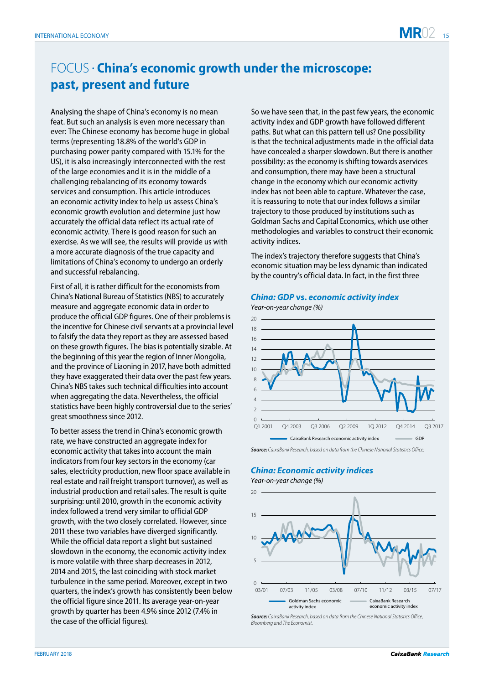# FOCUS •  **China's economic growth under the microscope: past, present and future**

Analysing the shape of China's economy is no mean feat. But such an analysis is even more necessary than ever: The Chinese economy has become huge in global terms (representing 18.8% of the world's GDP in purchasing power parity compared with 15.1% for the US), it is also increasingly interconnected with the rest of the large economies and it is in the middle of a challenging rebalancing of its economy towards services and consumption. This article introduces an economic activity index to help us assess China's economic growth evolution and determine just how accurately the official data reflect its actual rate of economic activity. There is good reason for such an exercise. As we will see, the results will provide us with a more accurate diagnosis of the true capacity and limitations of China's economy to undergo an orderly and successful rebalancing.

First of all, it is rather difficult for the economists from China's National Bureau of Statistics (NBS) to accurately measure and aggregate economic data in order to produce the official GDP figures. One of their problems is the incentive for Chinese civil servants at a provincial level to falsify the data they report as they are assessed based on these growth figures. The bias is potentially sizable. At the beginning of this year the region of Inner Mongolia, and the province of Liaoning in 2017, have both admitted they have exaggerated their data over the past few years. China's NBS takes such technical difficulties into account when aggregating the data. Nevertheless, the official statistics have been highly controversial due to the series' great smoothness since 2012.

To better assess the trend in China's economic growth rate, we have constructed an aggregate index for economic activity that takes into account the main indicators from four key sectors in the economy (car sales, electricity production, new floor space available in real estate and rail freight transport turnover), as well as industrial production and retail sales. The result is quite surprising: until 2010, growth in the economic activity index followed a trend very similar to official GDP growth, with the two closely correlated. However, since 2011 these two variables have diverged significantly. While the official data report a slight but sustained slowdown in the economy, the economic activity index is more volatile with three sharp decreases in 2012, 2014 and 2015, the last coinciding with stock market turbulence in the same period. Moreover, except in two quarters, the index's growth has consistently been below the official figure since 2011. Its average year-on-year growth by quarter has been 4.9% since 2012 (7.4% in the case of the official figures).

So we have seen that, in the past few years, the economic activity index and GDP growth have followed different paths. But what can this pattern tell us? One possibility is that the technical adjustments made in the official data have concealed a sharper slowdown. But there is another possibility: as the economy is shifting towards aservices and consumption, there may have been a structural change in the economy which our economic activity index has not been able to capture. Whatever the case, it is reassuring to note that our index follows a similar trajectory to those produced by institutions such as Goldman Sachs and Capital Economics, which use other methodologies and variables to construct their economic activity indices.

The index's trajectory therefore suggests that China's economic situation may be less dynamic than indicated by the country's official data. In fact, in the first three

#### **China: GDP vs. economic activity index**



**Source***: CaixaBank Research,* based on data from the Chinese National Statistics Office.

#### **China: Economic activity indices**

*Year-on-year change (%)*

 $\Omega$ 5 10 15  $20<sup>2</sup>$ 03/01 07/03 11/05 03/08 07/10 11/12 03/15 07/17 Goldman Sachs economic activity index CaixaBank Research economic activity inde

**Source***: CaixaBank Research,* based on data from the Chinese National Statistics Office, *Bloomberg* and The Economist.